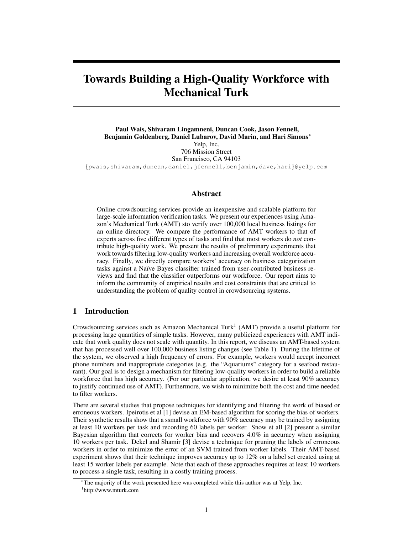# Towards Building a High-Quality Workforce with Mechanical Turk

Paul Wais, Shivaram Lingamneni, Duncan Cook, Jason Fennell, Benjamin Goldenberg, Daniel Lubarov, David Marin, and Hari Simons<sup>∗</sup> Yelp, Inc. 706 Mission Street San Francisco, CA 94103 {pwais,shivaram,duncan,daniel,jfennell,benjamin,dave,hari}@yelp.com

#### Abstract

Online crowdsourcing services provide an inexpensive and scalable platform for large-scale information verification tasks. We present our experiences using Amazon's Mechanical Turk (AMT) sto verify over 100,000 local business listings for an online directory. We compare the performance of AMT workers to that of experts across five different types of tasks and find that most workers do *not* contribute high-quality work. We present the results of preliminary experiments that work towards filtering low-quality workers and increasing overall workforce accuracy. Finally, we directly compare workers' accuracy on business categorization tasks against a Na¨ıve Bayes classifier trained from user-contributed business reviews and find that the classifier outperforms our workforce. Our report aims to inform the community of empirical results and cost constraints that are critical to understanding the problem of quality control in crowdsourcing systems.

# 1 Introduction

Crowdsourcing services such as Amazon Mechanical Turk<sup>1</sup> (AMT) provide a useful platform for processing large quantities of simple tasks. However, many publicized experiences with AMT indicate that work quality does not scale with quantity. In this report, we discuss an AMT-based system that has processed well over 100,000 business listing changes (see Table 1). During the lifetime of the system, we observed a high frequency of errors. For example, workers would accept incorrect phone numbers and inappropriate categories (e.g. the "Aquariums" category for a seafood restaurant). Our goal is to design a mechanism for filtering low-quality workers in order to build a reliable workforce that has high accuracy. (For our particular application, we desire at least 90% accuracy to justify continued use of AMT). Furthermore, we wish to minimize both the cost and time needed to filter workers.

There are several studies that propose techniques for identifying and filtering the work of biased or erroneous workers. Ipeirotis et al [1] devise an EM-based algorithm for scoring the bias of workers. Their synthetic results show that a ssmall workforce with 90% accuracy may be trained by assigning at least 10 workers per task and recording 60 labels per worker. Snow et all [2] present a similar Bayesian algorithm that corrects for worker bias and recovers 4.0% in accuracy when assigning 10 workers per task. Dekel and Shamir [3] devise a technique for pruning the labels of erroneous workers in order to minimize the error of an SVM trained from worker labels. Their AMT-based experiment shows that their technique improves accuracy up to 12% on a label set created using at least 15 worker labels per example. Note that each of these approaches requires at least 10 workers to process a single task, resulting in a costly training process.

<sup>∗</sup>The majority of the work presented here was completed while this author was at Yelp, Inc. 1 http://www.mturk.com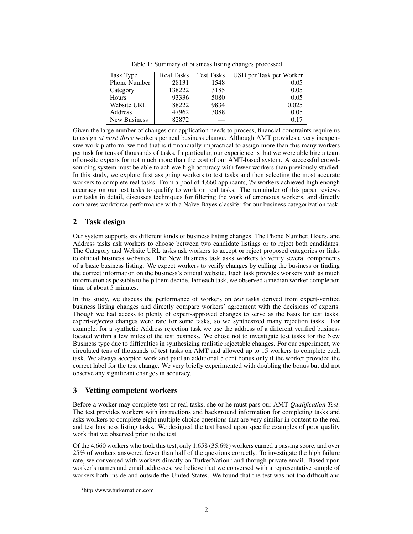| Task Type           | Real Tasks | <b>Test Tasks</b> | USD per Task per Worker |
|---------------------|------------|-------------------|-------------------------|
| <b>Phone Number</b> | 28131      | 1548              | 0.05                    |
| Category            | 138222     | 3185              | 0.05                    |
| Hours               | 93336      | 5080              | 0.05                    |
| Website URL         | 88222      | 9834              | 0.025                   |
| Address             | 47962      | 3088              | 0.05                    |
| <b>New Business</b> | 82872      |                   | 0.17                    |

Table 1: Summary of business listing changes processed

Given the large number of changes our application needs to process, financial constraints require us to assign *at most three* workers per real business change. Although AMT provides a very inexpensive work platform, we find that is it financially impractical to assign more than this many workers per task for tens of thousands of tasks. In particular, our experience is that we were able hire a team of on-site experts for not much more than the cost of our AMT-based system. A successful crowdsourcing system must be able to achieve high accuracy with fewer workers than previously studied. In this study, we explore first assigning workers to test tasks and then selecting the most accurate workers to complete real tasks. From a pool of 4,660 applicants, 79 workers achieved high enough accuracy on our test tasks to qualify to work on real tasks. The remainder of this paper reviews our tasks in detail, discusses techniques for filtering the work of erroneous workers, and directly compares workforce performance with a Naïve Bayes classifer for our business categorization task.

# 2 Task design

Our system supports six different kinds of business listing changes. The Phone Number, Hours, and Address tasks ask workers to choose between two candidate listings or to reject both candidates. The Category and Website URL tasks ask workers to accept or reject proposed categories or links to official business websites. The New Business task asks workers to verify several components of a basic business listing. We expect workers to verify changes by calling the business or finding the correct information on the business's official website. Each task provides workers with as much information as possible to help them decide. For each task, we observed a median worker completion time of about 5 minutes.

In this study, we discuss the performance of workers on *test* tasks derived from expert-verified business listing changes and directly compare workers' agreement with the decisions of experts. Though we had access to plenty of expert-approved changes to serve as the basis for test tasks, expert-*rejected* changes were rare for some tasks, so we synthesized many rejection tasks. For example, for a synthetic Address rejection task we use the address of a different verified business located within a few miles of the test business. We chose not to investigate test tasks for the New Business type due to difficulties in synthesizing realistic rejectable changes. For our experiment, we circulated tens of thousands of test tasks on AMT and allowed up to 15 workers to complete each task. We always accepted work and paid an additional 5 cent bonus only if the worker provided the correct label for the test change. We very briefly experimented with doubling the bonus but did not observe any significant changes in accuracy.

# 3 Vetting competent workers

Before a worker may complete test or real tasks, she or he must pass our AMT *Qualification Test*. The test provides workers with instructions and background information for completing tasks and asks workers to complete eight multiple choice questions that are very similar in content to the real and test business listing tasks. We designed the test based upon specific examples of poor quality work that we observed prior to the test.

Of the 4,660 workers who took this test, only 1,658 (35.6%) workers earned a passing score, and over 25% of workers answered fewer than half of the questions correctly. To investigate the high failure rate, we conversed with workers directly on TurkerNation<sup>2</sup> and through private email. Based upon worker's names and email addresses, we believe that we conversed with a representative sample of workers both inside and outside the United States. We found that the test was not too difficult and

<sup>2</sup> http://www.turkernation.com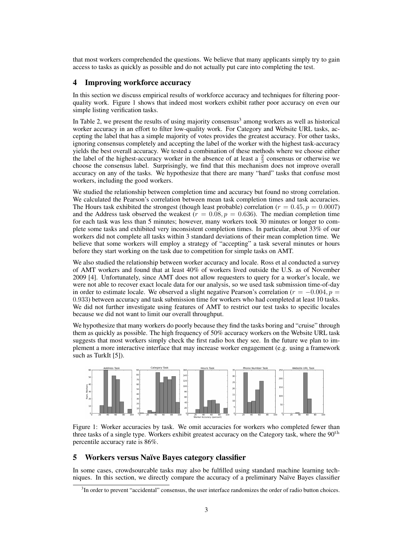that most workers comprehended the questions. We believe that many applicants simply try to gain access to tasks as quickly as possible and do not actually put care into completing the test.

## 4 Improving workforce accuracy

In this section we discuss empirical results of workforce accuracy and techniques for filtering poorquality work. Figure 1 shows that indeed most workers exhibit rather poor accuracy on even our simple listing verification tasks.

In Table 2, we present the results of using majority consensus<sup>3</sup> among workers as well as historical worker accuracy in an effort to filter low-quality work. For Category and Website URL tasks, accepting the label that has a simple majority of votes provides the greatest accuracy. For other tasks, ignoring consensus completely and accepting the label of the worker with the highest task-accuracy yields the best overall accuracy. We tested a combination of these methods where we choose either the label of the highest-accuracy worker in the absence of at least a  $\frac{2}{3}$  consensus or otherwise we choose the consensus label. Surprisingly, we find that this mechanism does not improve overall accuracy on any of the tasks. We hypothesize that there are many "hard" tasks that confuse most workers, including the good workers.

We studied the relationship between completion time and accuracy but found no strong correlation. We calculated the Pearson's correlation between mean task completion times and task accuracies. The Hours task exhibited the strongest (though least probable) correlation ( $r = 0.45$ ,  $p = 0.0007$ ) and the Address task observed the weakest ( $r = 0.08, p = 0.636$ ). The median completion time for each task was less than 5 minutes; however, many workers took 30 minutes or longer to complete some tasks and exhibited very inconsistent completion times. In particular, about 33% of our workers did not complete all tasks within 3 standard deviations of their mean completion time. We believe that some workers will employ a strategy of "accepting" a task several minutes or hours before they start working on the task due to competition for simple tasks on AMT.

We also studied the relationship between worker accuracy and locale. Ross et al conducted a survey of AMT workers and found that at least 40% of workers lived outside the U.S. as of November 2009 [4]. Unfortunately, since AMT does not allow requesters to query for a worker's locale, we were not able to recover exact locale data for our analysis, so we used task submission time-of-day in order to estimate locale. We observed a slight negative Pearson's correlation ( $r = -0.004, p =$ 0.933) between accuracy and task submission time for workers who had completed at least 10 tasks. We did not further investigate using features of AMT to restrict our test tasks to specific locales because we did not want to limit our overall throughput.

We hypothesize that many workers do poorly because they find the tasks boring and "cruise" through them as quickly as possible. The high frequency of 50% accuracy workers on the Website URL task suggests that most workers simply check the first radio box they see. In the future we plan to implement a more interactive interface that may increase worker engagement (e.g. using a framework such as TurkIt [5]).



Figure 1: Worker accuracies by task. We omit accuracies for workers who completed fewer than three tasks of a single type. Workers exhibit greatest accuracy on the Category task, where the  $90<sup>th</sup>$ percentile accuracy rate is 86%.

#### 5 Workers versus Na¨ıve Bayes category classifier

In some cases, crowdsourcable tasks may also be fulfilled using standard machine learning techniques. In this section, we directly compare the accuracy of a preliminary Naïve Bayes classifier

<sup>&</sup>lt;sup>3</sup>In order to prevent "accidental" consensus, the user interface randomizes the order of radio button choices.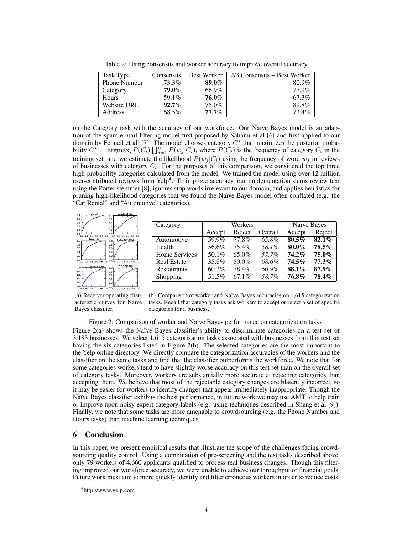Table 2: Using consensus and worker accuracy to improve overall accuracy

| Task Type    | Consensus | <b>Best Worker</b> | 2/3 Consensus + Best Worker |
|--------------|-----------|--------------------|-----------------------------|
| Phone Number | 73.3%     | 89.0%              | 80.9%                       |
| Category     | 79.0%     | 66.9%              | 77.9%                       |
| Hours        | 59.1%     | 76.0%              | 67.3%                       |
| Website URL  | $92.7\%$  | 75.0%              | 89.8%                       |
| Address      | 68.5%     | $77.7\%$           | 73.4%                       |

on the Category task with the accuracy of our workforce. Our Naïve Bayes model is an adaption of the spam e-mail filtering model first proposed by Sahami et al [6] and first applied to our domain by Fennell et all [7]. The model chooses category  $C^*$  that maximizes the posterior probability  $C^* = \argmax_i P(C_i) \prod_{j=1}^n P(w_j | C_i)$ , where  $\overline{P(C_i)}$  is the frequency of category  $C_i$  in the training set, and we estimate the likelihood  $P(w_i | C_i)$  using the frequency of word  $w_i$  in reviews of businesses with category  $C_i$ . For the purposes of this comparison, we considered the top three high-probability categories calculated from the model. We trained the model using over 12 million user-contributed reviews from Yelp<sup>4</sup>. To improve accuracy, our implementation stems review text using the Porter stemmer [8], ignores stop words irrelevant to our domain, and applies heuristics for pruning high-likelihood categories that we found the Na¨ıve Bayes model often conflated (e.g. the "Car Rental" and "Automotive" categories).



| Category           | Workers |          |          | Naïve Bayes |          |
|--------------------|---------|----------|----------|-------------|----------|
|                    | Accept  | Reject   | Overall  | Accept      | Reject   |
| Automotive         | 59.9%   | 77.8%    | $65.8\%$ | $80.5\%$    | $82.1\%$ |
| Health             | 56.6%   | 75.4%    | 58.1%    | 80.0%       | $78.5\%$ |
| Home Services      | 50.1%   | 65.0%    | 57.7%    | 74.2%       | $75.0\%$ |
| <b>Real Estate</b> | 35.8%   | 50.0%    | 68.6%    | $74.5\%$    | 77.3%    |
| Restaurants        | 60.3%   | 78.4%    | 60.9%    | 88.1%       | 87.9%    |
| Shopping           | 51.5%   | $67.1\%$ | 58.7%    | 76.8%       | 78.4%    |

(a) Receiver operating characteristic curves for Naïve Bayes classifier.

(b) Comparison of worker and Na¨ıve Bayes accuracies on 1,615 categorization tasks. Recall that category tasks ask workers to accept or reject a set of specific categories for a business.

Figure 2: Comparison of worker and Naïve Bayes performance on categorization tasks.

Figure  $2(a)$  shows the Naïve Bayes classifier's ability to discriminate categories on a test set of 3,183 businesses. We select 1,615 categorization tasks associated with businesses from this test set having the six categories listed in Figure 2(b). The selected categories are the most important to the Yelp online directory. We directly compare the categorization accuracies of the workers and the classifier on the same tasks and find that the classifier outperforms the workforce. We note that for some categories workers tend to have slightly worse accuracy on this test set than on the overall set of category tasks. Moreover, workers are substantially more accurate at rejecting categories than accepting them. We believe that most of the rejectable category changes are blatently incorrect, so it may be easier for workers to identify changes that appear immediately inappropriate. Though the Naïve Bayes classifier exhibits the best performance, in future work we may use AMT to help train or improve upon noisy expert category labels (e.g. using techniques described in Sheng et al [9]). Finally, we note that some tasks are more amenable to crowdsourcing (e.g. the Phone Number and Hours tasks) than machine learning techniques.

## 6 Conclusion

In this paper, we present empirical results that illustrate the scope of the challenges facing crowdsourcing quality control. Using a combination of pre-screening and the test tasks described above, only 79 workers of 4,660 applicants qualified to process real business changes. Though this filtering improved our workforce accuracy, we were unable to achieve our throughput or financial goals. Future work must aim to more quickly identify and filter erroneous workers in order to reduce costs.

<sup>4</sup> http://www.yelp.com